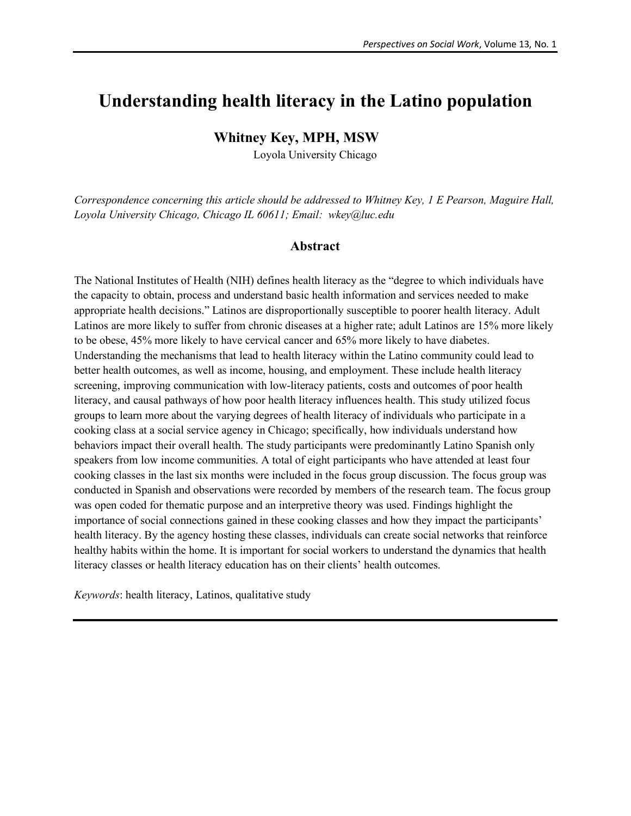# **Understanding health literacy in the Latino population**

# **Whitney Key, MPH, MSW**

Loyola University Chicago

*Correspondence concerning this article should be addressed to Whitney Key, 1 E Pearson, Maguire Hall, Loyola University Chicago, Chicago IL 60611; Email: wkey@luc.edu*

### **Abstract**

The National Institutes of Health (NIH) defines health literacy as the "degree to which individuals have the capacity to obtain, process and understand basic health information and services needed to make appropriate health decisions." Latinos are disproportionally susceptible to poorer health literacy. Adult Latinos are more likely to suffer from chronic diseases at a higher rate; adult Latinos are 15% more likely to be obese, 45% more likely to have cervical cancer and 65% more likely to have diabetes. Understanding the mechanisms that lead to health literacy within the Latino community could lead to better health outcomes, as well as income, housing, and employment. These include health literacy screening, improving communication with low-literacy patients, costs and outcomes of poor health literacy, and causal pathways of how poor health literacy influences health. This study utilized focus groups to learn more about the varying degrees of health literacy of individuals who participate in a cooking class at a social service agency in Chicago; specifically, how individuals understand how behaviors impact their overall health. The study participants were predominantly Latino Spanish only speakers from low income communities. A total of eight participants who have attended at least four cooking classes in the last six months were included in the focus group discussion. The focus group was conducted in Spanish and observations were recorded by members of the research team. The focus group was open coded for thematic purpose and an interpretive theory was used. Findings highlight the importance of social connections gained in these cooking classes and how they impact the participants' health literacy. By the agency hosting these classes, individuals can create social networks that reinforce healthy habits within the home. It is important for social workers to understand the dynamics that health literacy classes or health literacy education has on their clients' health outcomes.

*Keywords*: health literacy, Latinos, qualitative study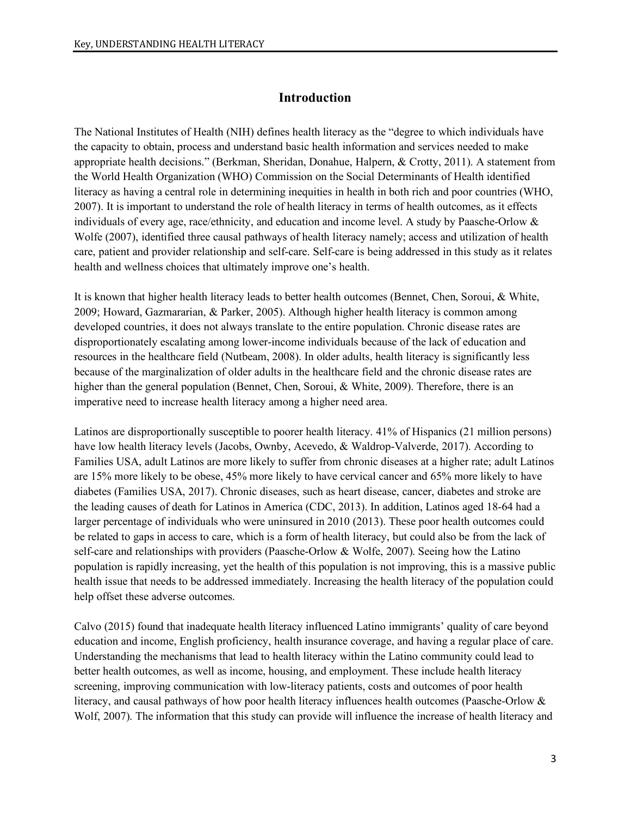# **Introduction**

The National Institutes of Health (NIH) defines health literacy as the "degree to which individuals have the capacity to obtain, process and understand basic health information and services needed to make appropriate health decisions." (Berkman, Sheridan, Donahue, Halpern, & Crotty, 2011). A statement from the World Health Organization (WHO) Commission on the Social Determinants of Health identified literacy as having a central role in determining inequities in health in both rich and poor countries (WHO, 2007). It is important to understand the role of health literacy in terms of health outcomes, as it effects individuals of every age, race/ethnicity, and education and income level. A study by Paasche-Orlow & Wolfe (2007), identified three causal pathways of health literacy namely; access and utilization of health care, patient and provider relationship and self-care. Self-care is being addressed in this study as it relates health and wellness choices that ultimately improve one's health.

It is known that higher health literacy leads to better health outcomes (Bennet, Chen, Soroui, & White, 2009; Howard, Gazmararian, & Parker, 2005). Although higher health literacy is common among developed countries, it does not always translate to the entire population. Chronic disease rates are disproportionately escalating among lower-income individuals because of the lack of education and resources in the healthcare field (Nutbeam, 2008). In older adults, health literacy is significantly less because of the marginalization of older adults in the healthcare field and the chronic disease rates are higher than the general population (Bennet, Chen, Soroui, & White, 2009). Therefore, there is an imperative need to increase health literacy among a higher need area.

Latinos are disproportionally susceptible to poorer health literacy. 41% of Hispanics (21 million persons) have low health literacy levels (Jacobs, Ownby, Acevedo, & Waldrop-Valverde, 2017). According to Families USA, adult Latinos are more likely to suffer from chronic diseases at a higher rate; adult Latinos are 15% more likely to be obese, 45% more likely to have cervical cancer and 65% more likely to have diabetes (Families USA, 2017). Chronic diseases, such as heart disease, cancer, diabetes and stroke are the leading causes of death for Latinos in America (CDC, 2013). In addition, Latinos aged 18-64 had a larger percentage of individuals who were uninsured in 2010 (2013). These poor health outcomes could be related to gaps in access to care, which is a form of health literacy, but could also be from the lack of self-care and relationships with providers (Paasche-Orlow & Wolfe, 2007). Seeing how the Latino population is rapidly increasing, yet the health of this population is not improving, this is a massive public health issue that needs to be addressed immediately. Increasing the health literacy of the population could help offset these adverse outcomes.

Calvo (2015) found that inadequate health literacy influenced Latino immigrants' quality of care beyond education and income, English proficiency, health insurance coverage, and having a regular place of care. Understanding the mechanisms that lead to health literacy within the Latino community could lead to better health outcomes, as well as income, housing, and employment. These include health literacy screening, improving communication with low-literacy patients, costs and outcomes of poor health literacy, and causal pathways of how poor health literacy influences health outcomes (Paasche-Orlow & Wolf, 2007). The information that this study can provide will influence the increase of health literacy and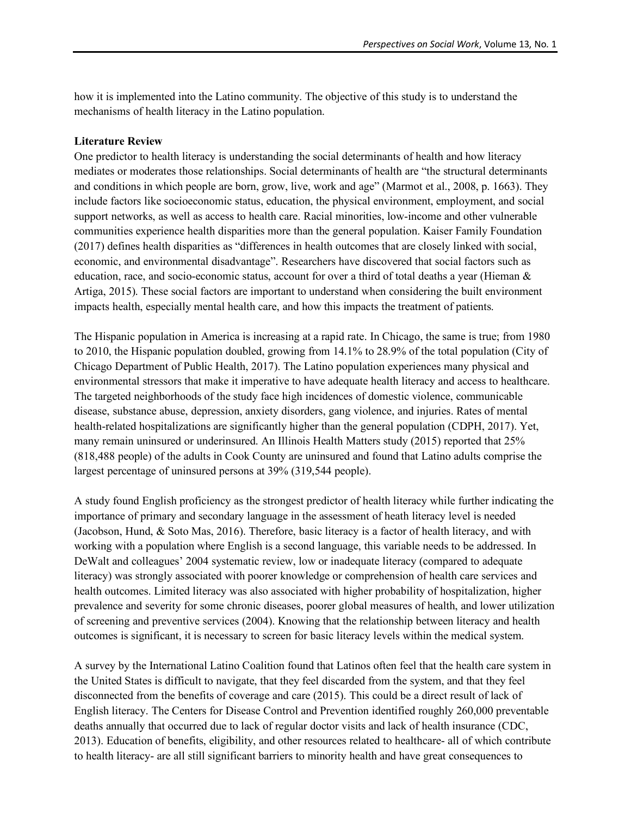how it is implemented into the Latino community. The objective of this study is to understand the mechanisms of health literacy in the Latino population.

#### **Literature Review**

One predictor to health literacy is understanding the social determinants of health and how literacy mediates or moderates those relationships. Social determinants of health are "the structural determinants and conditions in which people are born, grow, live, work and age" (Marmot et al., 2008, p. 1663). They include factors like socioeconomic status, education, the physical environment, employment, and social support networks, as well as access to health care. Racial minorities, low-income and other vulnerable communities experience health disparities more than the general population. Kaiser Family Foundation (2017) defines health disparities as "differences in health outcomes that are closely linked with social, economic, and environmental disadvantage". Researchers have discovered that social factors such as education, race, and socio-economic status, account for over a third of total deaths a year (Hieman & Artiga, 2015). These social factors are important to understand when considering the built environment impacts health, especially mental health care, and how this impacts the treatment of patients.

The Hispanic population in America is increasing at a rapid rate. In Chicago, the same is true; from 1980 to 2010, the Hispanic population doubled, growing from 14.1% to 28.9% of the total population (City of Chicago Department of Public Health, 2017). The Latino population experiences many physical and environmental stressors that make it imperative to have adequate health literacy and access to healthcare. The targeted neighborhoods of the study face high incidences of domestic violence, communicable disease, substance abuse, depression, anxiety disorders, gang violence, and injuries. Rates of mental health-related hospitalizations are significantly higher than the general population (CDPH, 2017). Yet, many remain uninsured or underinsured. An Illinois Health Matters study (2015) reported that 25% (818,488 people) of the adults in Cook County are uninsured and found that Latino adults comprise the largest percentage of uninsured persons at 39% (319,544 people).

A study found English proficiency as the strongest predictor of health literacy while further indicating the importance of primary and secondary language in the assessment of heath literacy level is needed (Jacobson, Hund, & Soto Mas, 2016). Therefore, basic literacy is a factor of health literacy, and with working with a population where English is a second language, this variable needs to be addressed. In DeWalt and colleagues' 2004 systematic review, low or inadequate literacy (compared to adequate literacy) was strongly associated with poorer knowledge or comprehension of health care services and health outcomes. Limited literacy was also associated with higher probability of hospitalization, higher prevalence and severity for some chronic diseases, poorer global measures of health, and lower utilization of screening and preventive services (2004). Knowing that the relationship between literacy and health outcomes is significant, it is necessary to screen for basic literacy levels within the medical system.

A survey by the International Latino Coalition found that Latinos often feel that the health care system in the United States is difficult to navigate, that they feel discarded from the system, and that they feel disconnected from the benefits of coverage and care (2015). This could be a direct result of lack of English literacy. The Centers for Disease Control and Prevention identified roughly 260,000 preventable deaths annually that occurred due to lack of regular doctor visits and lack of health insurance (CDC, 2013). Education of benefits, eligibility, and other resources related to healthcare- all of which contribute to health literacy- are all still significant barriers to minority health and have great consequences to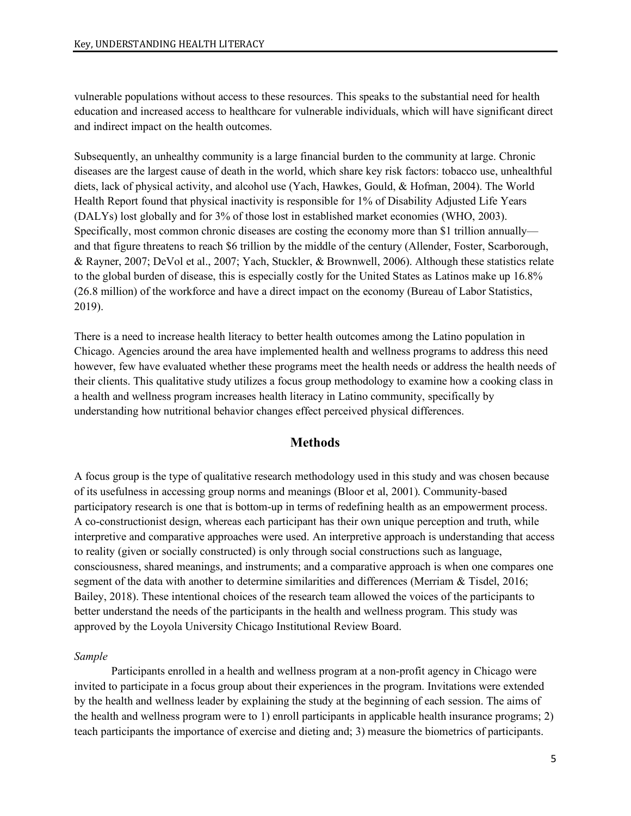vulnerable populations without access to these resources. This speaks to the substantial need for health education and increased access to healthcare for vulnerable individuals, which will have significant direct and indirect impact on the health outcomes.

Subsequently, an unhealthy community is a large financial burden to the community at large. Chronic diseases are the largest cause of death in the world, which share key risk factors: tobacco use, unhealthful diets, lack of physical activity, and alcohol use (Yach, Hawkes, Gould, & Hofman, 2004). The World Health Report found that physical inactivity is responsible for 1% of Disability Adjusted Life Years (DALYs) lost globally and for 3% of those lost in established market economies (WHO, 2003). Specifically, most common chronic diseases are costing the economy more than \$1 trillion annually and that figure threatens to reach \$6 trillion by the middle of the century (Allender, Foster, Scarborough, & Rayner, 2007; DeVol et al., 2007; Yach, Stuckler, & Brownwell, 2006). Although these statistics relate to the global burden of disease, this is especially costly for the United States as Latinos make up 16.8% (26.8 million) of the workforce and have a direct impact on the economy (Bureau of Labor Statistics, 2019).

There is a need to increase health literacy to better health outcomes among the Latino population in Chicago. Agencies around the area have implemented health and wellness programs to address this need however, few have evaluated whether these programs meet the health needs or address the health needs of their clients. This qualitative study utilizes a focus group methodology to examine how a cooking class in a health and wellness program increases health literacy in Latino community, specifically by understanding how nutritional behavior changes effect perceived physical differences.

## **Methods**

A focus group is the type of qualitative research methodology used in this study and was chosen because of its usefulness in accessing group norms and meanings (Bloor et al, 2001). Community-based participatory research is one that is bottom-up in terms of redefining health as an empowerment process. A co-constructionist design, whereas each participant has their own unique perception and truth, while interpretive and comparative approaches were used. An interpretive approach is understanding that access to reality (given or socially constructed) is only through social constructions such as language, consciousness, shared meanings, and instruments; and a comparative approach is when one compares one segment of the data with another to determine similarities and differences (Merriam & Tisdel, 2016; Bailey, 2018). These intentional choices of the research team allowed the voices of the participants to better understand the needs of the participants in the health and wellness program. This study was approved by the Loyola University Chicago Institutional Review Board.

#### *Sample*

Participants enrolled in a health and wellness program at a non-profit agency in Chicago were invited to participate in a focus group about their experiences in the program. Invitations were extended by the health and wellness leader by explaining the study at the beginning of each session. The aims of the health and wellness program were to 1) enroll participants in applicable health insurance programs; 2) teach participants the importance of exercise and dieting and; 3) measure the biometrics of participants.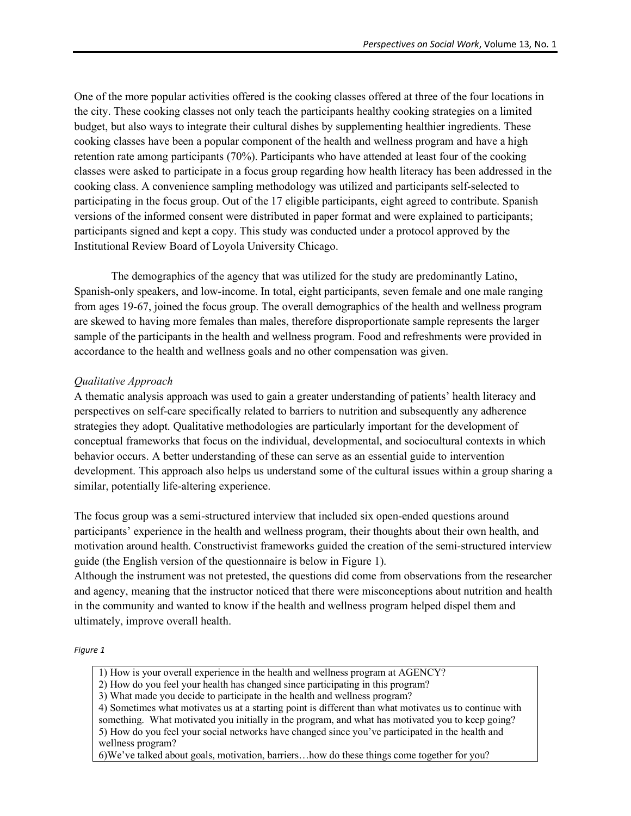One of the more popular activities offered is the cooking classes offered at three of the four locations in the city. These cooking classes not only teach the participants healthy cooking strategies on a limited budget, but also ways to integrate their cultural dishes by supplementing healthier ingredients. These cooking classes have been a popular component of the health and wellness program and have a high retention rate among participants (70%). Participants who have attended at least four of the cooking classes were asked to participate in a focus group regarding how health literacy has been addressed in the cooking class. A convenience sampling methodology was utilized and participants self-selected to participating in the focus group. Out of the 17 eligible participants, eight agreed to contribute. Spanish versions of the informed consent were distributed in paper format and were explained to participants; participants signed and kept a copy. This study was conducted under a protocol approved by the Institutional Review Board of Loyola University Chicago.

The demographics of the agency that was utilized for the study are predominantly Latino, Spanish-only speakers, and low-income. In total, eight participants, seven female and one male ranging from ages 19-67, joined the focus group. The overall demographics of the health and wellness program are skewed to having more females than males, therefore disproportionate sample represents the larger sample of the participants in the health and wellness program. Food and refreshments were provided in accordance to the health and wellness goals and no other compensation was given.

### *Qualitative Approach*

A thematic analysis approach was used to gain a greater understanding of patients' health literacy and perspectives on self-care specifically related to barriers to nutrition and subsequently any adherence strategies they adopt. Qualitative methodologies are particularly important for the development of conceptual frameworks that focus on the individual, developmental, and sociocultural contexts in which behavior occurs. A better understanding of these can serve as an essential guide to intervention development. This approach also helps us understand some of the cultural issues within a group sharing a similar, potentially life-altering experience.

The focus group was a semi-structured interview that included six open-ended questions around participants' experience in the health and wellness program, their thoughts about their own health, and motivation around health. Constructivist frameworks guided the creation of the semi-structured interview guide (the English version of the questionnaire is below in Figure 1).

Although the instrument was not pretested, the questions did come from observations from the researcher and agency, meaning that the instructor noticed that there were misconceptions about nutrition and health in the community and wanted to know if the health and wellness program helped dispel them and ultimately, improve overall health.

#### *Figure 1*

- 1) How is your overall experience in the health and wellness program at AGENCY?
- 2) How do you feel your health has changed since participating in this program?
- 3) What made you decide to participate in the health and wellness program?
- 4) Sometimes what motivates us at a starting point is different than what motivates us to continue with something. What motivated you initially in the program, and what has motivated you to keep going? 5) How do you feel your social networks have changed since you've participated in the health and wellness program?
- 6)We've talked about goals, motivation, barriers…how do these things come together for you?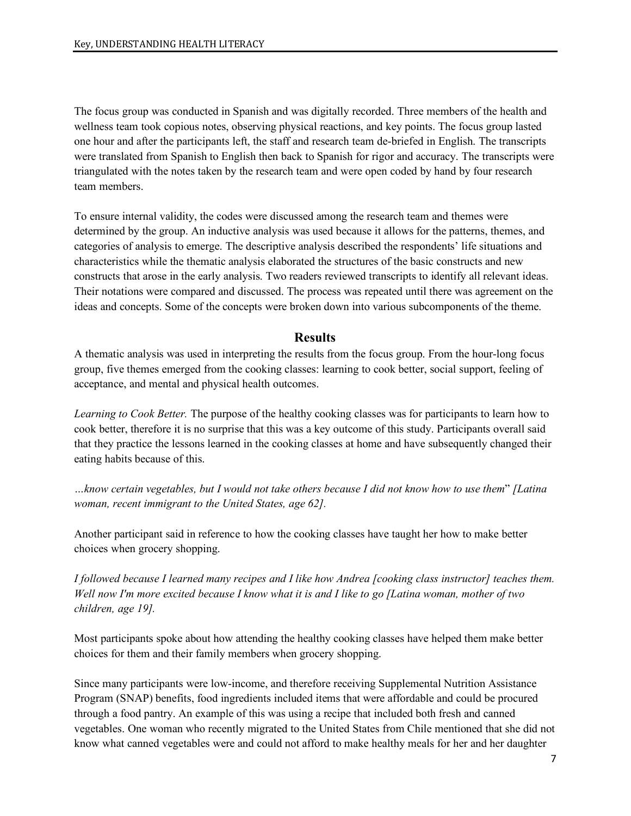The focus group was conducted in Spanish and was digitally recorded. Three members of the health and wellness team took copious notes, observing physical reactions, and key points. The focus group lasted one hour and after the participants left, the staff and research team de-briefed in English. The transcripts were translated from Spanish to English then back to Spanish for rigor and accuracy. The transcripts were triangulated with the notes taken by the research team and were open coded by hand by four research team members.

To ensure internal validity, the codes were discussed among the research team and themes were determined by the group. An inductive analysis was used because it allows for the patterns, themes, and categories of analysis to emerge. The descriptive analysis described the respondents' life situations and characteristics while the thematic analysis elaborated the structures of the basic constructs and new constructs that arose in the early analysis. Two readers reviewed transcripts to identify all relevant ideas. Their notations were compared and discussed. The process was repeated until there was agreement on the ideas and concepts. Some of the concepts were broken down into various subcomponents of the theme.

## **Results**

A thematic analysis was used in interpreting the results from the focus group. From the hour-long focus group, five themes emerged from the cooking classes: learning to cook better, social support, feeling of acceptance, and mental and physical health outcomes.

*Learning to Cook Better.* The purpose of the healthy cooking classes was for participants to learn how to cook better, therefore it is no surprise that this was a key outcome of this study. Participants overall said that they practice the lessons learned in the cooking classes at home and have subsequently changed their eating habits because of this.

*…know certain vegetables, but I would not take others because I did not know how to use them*" *[Latina woman, recent immigrant to the United States, age 62].*

Another participant said in reference to how the cooking classes have taught her how to make better choices when grocery shopping.

*I followed because I learned many recipes and I like how Andrea [cooking class instructor] teaches them. Well now I'm more excited because I know what it is and I like to go [Latina woman, mother of two children, age 19].* 

Most participants spoke about how attending the healthy cooking classes have helped them make better choices for them and their family members when grocery shopping.

Since many participants were low-income, and therefore receiving Supplemental Nutrition Assistance Program (SNAP) benefits, food ingredients included items that were affordable and could be procured through a food pantry. An example of this was using a recipe that included both fresh and canned vegetables. One woman who recently migrated to the United States from Chile mentioned that she did not know what canned vegetables were and could not afford to make healthy meals for her and her daughter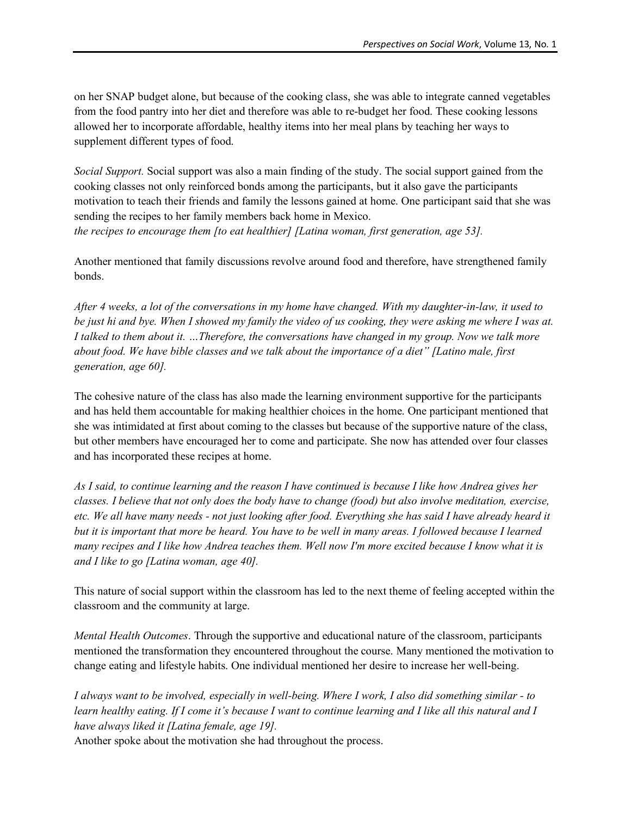on her SNAP budget alone, but because of the cooking class, she was able to integrate canned vegetables from the food pantry into her diet and therefore was able to re-budget her food. These cooking lessons allowed her to incorporate affordable, healthy items into her meal plans by teaching her ways to supplement different types of food.

*Social Support.* Social support was also a main finding of the study. The social support gained from the cooking classes not only reinforced bonds among the participants, but it also gave the participants motivation to teach their friends and family the lessons gained at home. One participant said that she was sending the recipes to her family members back home in Mexico. *the recipes to encourage them [to eat healthier] [Latina woman, first generation, age 53].* 

Another mentioned that family discussions revolve around food and therefore, have strengthened family bonds.

*After 4 weeks, a lot of the conversations in my home have changed. With my daughter-in-law, it used to be just hi and bye. When I showed my family the video of us cooking, they were asking me where I was at. I talked to them about it. …Therefore, the conversations have changed in my group. Now we talk more about food. We have bible classes and we talk about the importance of a diet" [Latino male, first generation, age 60].* 

The cohesive nature of the class has also made the learning environment supportive for the participants and has held them accountable for making healthier choices in the home. One participant mentioned that she was intimidated at first about coming to the classes but because of the supportive nature of the class, but other members have encouraged her to come and participate. She now has attended over four classes and has incorporated these recipes at home.

*As I said, to continue learning and the reason I have continued is because I like how Andrea gives her classes. I believe that not only does the body have to change (food) but also involve meditation, exercise, etc. We all have many needs - not just looking after food. Everything she has said I have already heard it but it is important that more be heard. You have to be well in many areas. I followed because I learned many recipes and I like how Andrea teaches them. Well now I'm more excited because I know what it is and I like to go [Latina woman, age 40].* 

This nature of social support within the classroom has led to the next theme of feeling accepted within the classroom and the community at large.

*Mental Health Outcomes*. Through the supportive and educational nature of the classroom, participants mentioned the transformation they encountered throughout the course. Many mentioned the motivation to change eating and lifestyle habits. One individual mentioned her desire to increase her well-being.

*I always want to be involved, especially in well-being. Where I work, I also did something similar - to learn healthy eating. If I come it's because I want to continue learning and I like all this natural and I have always liked it [Latina female, age 19].* 

Another spoke about the motivation she had throughout the process.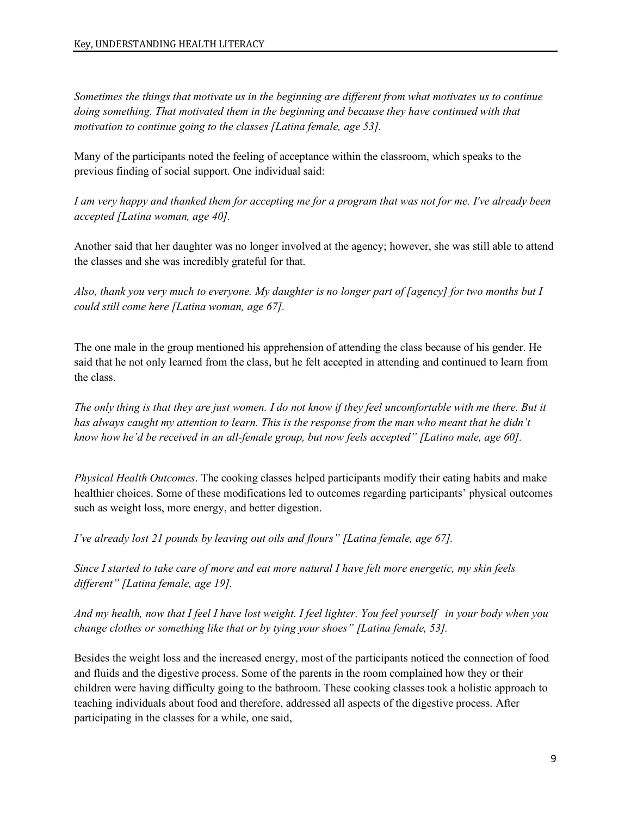*Sometimes the things that motivate us in the beginning are different from what motivates us to continue doing something. That motivated them in the beginning and because they have continued with that motivation to continue going to the classes [Latina female, age 53].*

Many of the participants noted the feeling of acceptance within the classroom, which speaks to the previous finding of social support. One individual said:

*I am very happy and thanked them for accepting me for a program that was not for me. I've already been accepted [Latina woman, age 40].* 

Another said that her daughter was no longer involved at the agency; however, she was still able to attend the classes and she was incredibly grateful for that.

*Also, thank you very much to everyone. My daughter is no longer part of [agency] for two months but I could still come here [Latina woman, age 67].*

The one male in the group mentioned his apprehension of attending the class because of his gender. He said that he not only learned from the class, but he felt accepted in attending and continued to learn from the class.

*The only thing is that they are just women. I do not know if they feel uncomfortable with me there. But it has always caught my attention to learn. This is the response from the man who meant that he didn't know how he'd be received in an all-female group, but now feels accepted" [Latino male, age 60].*

*Physical Health Outcomes*. The cooking classes helped participants modify their eating habits and make healthier choices. Some of these modifications led to outcomes regarding participants' physical outcomes such as weight loss, more energy, and better digestion.

*I've already lost 21 pounds by leaving out oils and flours" [Latina female, age 67].* 

*Since I started to take care of more and eat more natural I have felt more energetic, my skin feels different" [Latina female, age 19].* 

*And my health, now that I feel I have lost weight. I feel lighter. You feel yourself in your body when you change clothes or something like that or by tying your shoes" [Latina female, 53].*

Besides the weight loss and the increased energy, most of the participants noticed the connection of food and fluids and the digestive process. Some of the parents in the room complained how they or their children were having difficulty going to the bathroom. These cooking classes took a holistic approach to teaching individuals about food and therefore, addressed all aspects of the digestive process. After participating in the classes for a while, one said,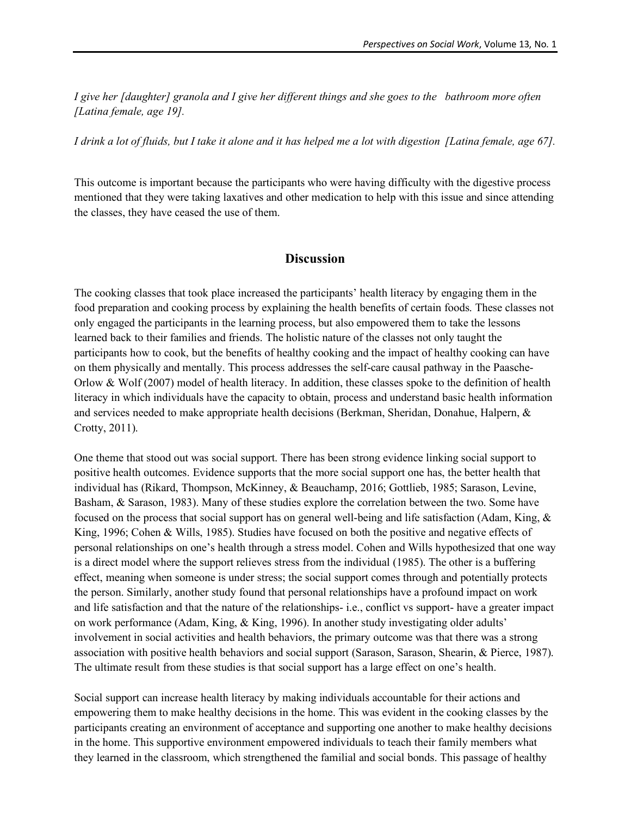*I give her [daughter] granola and I give her different things and she goes to the bathroom more often [Latina female, age 19].* 

*I drink a lot of fluids, but I take it alone and it has helped me a lot with digestion [Latina female, age 67].* 

This outcome is important because the participants who were having difficulty with the digestive process mentioned that they were taking laxatives and other medication to help with this issue and since attending the classes, they have ceased the use of them.

#### **Discussion**

The cooking classes that took place increased the participants' health literacy by engaging them in the food preparation and cooking process by explaining the health benefits of certain foods. These classes not only engaged the participants in the learning process, but also empowered them to take the lessons learned back to their families and friends. The holistic nature of the classes not only taught the participants how to cook, but the benefits of healthy cooking and the impact of healthy cooking can have on them physically and mentally. This process addresses the self-care causal pathway in the Paasche-Orlow & Wolf (2007) model of health literacy. In addition, these classes spoke to the definition of health literacy in which individuals have the capacity to obtain, process and understand basic health information and services needed to make appropriate health decisions (Berkman, Sheridan, Donahue, Halpern, & Crotty, 2011).

One theme that stood out was social support. There has been strong evidence linking social support to positive health outcomes. Evidence supports that the more social support one has, the better health that individual has (Rikard, Thompson, McKinney, & Beauchamp, 2016; Gottlieb, 1985; Sarason, Levine, Basham, & Sarason, 1983). Many of these studies explore the correlation between the two. Some have focused on the process that social support has on general well-being and life satisfaction (Adam, King, & King, 1996; Cohen & Wills, 1985). Studies have focused on both the positive and negative effects of personal relationships on one's health through a stress model. Cohen and Wills hypothesized that one way is a direct model where the support relieves stress from the individual (1985). The other is a buffering effect, meaning when someone is under stress; the social support comes through and potentially protects the person. Similarly, another study found that personal relationships have a profound impact on work and life satisfaction and that the nature of the relationships- i.e., conflict vs support- have a greater impact on work performance (Adam, King, & King, 1996). In another study investigating older adults' involvement in social activities and health behaviors, the primary outcome was that there was a strong association with positive health behaviors and social support (Sarason, Sarason, Shearin, & Pierce, 1987). The ultimate result from these studies is that social support has a large effect on one's health.

Social support can increase health literacy by making individuals accountable for their actions and empowering them to make healthy decisions in the home. This was evident in the cooking classes by the participants creating an environment of acceptance and supporting one another to make healthy decisions in the home. This supportive environment empowered individuals to teach their family members what they learned in the classroom, which strengthened the familial and social bonds. This passage of healthy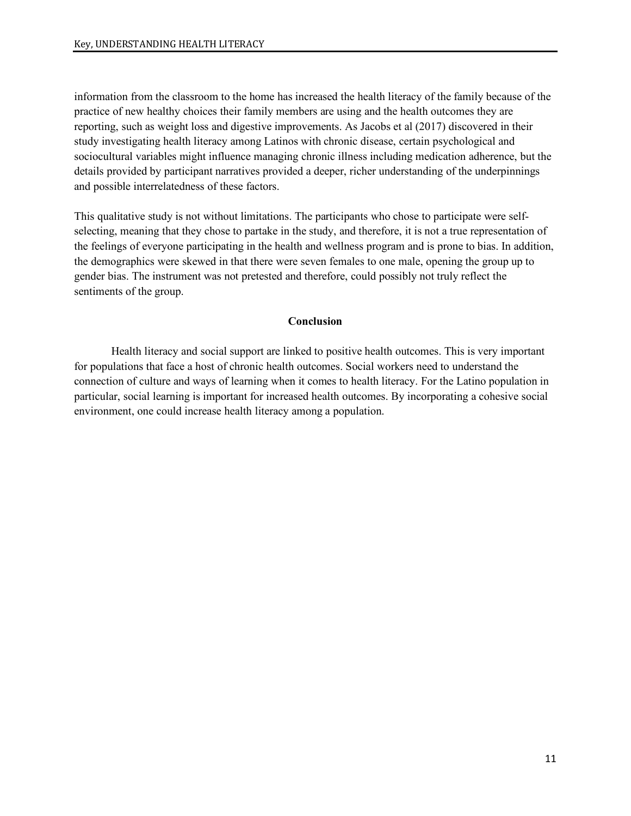information from the classroom to the home has increased the health literacy of the family because of the practice of new healthy choices their family members are using and the health outcomes they are reporting, such as weight loss and digestive improvements. As Jacobs et al (2017) discovered in their study investigating health literacy among Latinos with chronic disease, certain psychological and sociocultural variables might influence managing chronic illness including medication adherence, but the details provided by participant narratives provided a deeper, richer understanding of the underpinnings and possible interrelatedness of these factors.

This qualitative study is not without limitations. The participants who chose to participate were selfselecting, meaning that they chose to partake in the study, and therefore, it is not a true representation of the feelings of everyone participating in the health and wellness program and is prone to bias. In addition, the demographics were skewed in that there were seven females to one male, opening the group up to gender bias. The instrument was not pretested and therefore, could possibly not truly reflect the sentiments of the group.

#### **Conclusion**

Health literacy and social support are linked to positive health outcomes. This is very important for populations that face a host of chronic health outcomes. Social workers need to understand the connection of culture and ways of learning when it comes to health literacy. For the Latino population in particular, social learning is important for increased health outcomes. By incorporating a cohesive social environment, one could increase health literacy among a population.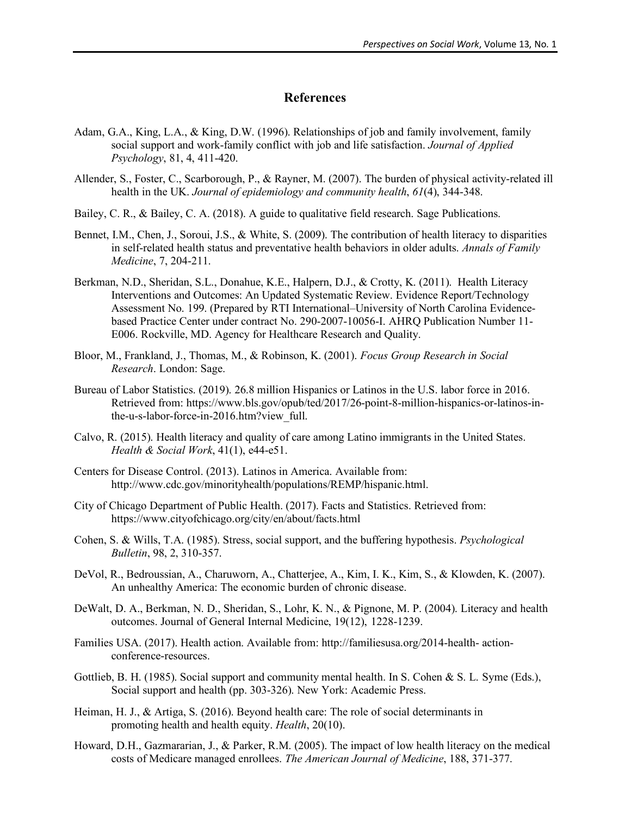## **References**

- Adam, G.A., King, L.A., & King, D.W. (1996). Relationships of job and family involvement, family social support and work-family conflict with job and life satisfaction. *Journal of Applied Psychology*, 81, 4, 411-420.
- Allender, S., Foster, C., Scarborough, P., & Rayner, M. (2007). The burden of physical activity-related ill health in the UK. *Journal of epidemiology and community health*, *61*(4), 344-348.
- Bailey, C. R., & Bailey, C. A. (2018). A guide to qualitative field research. Sage Publications.
- Bennet, I.M., Chen, J., Soroui, J.S., & White, S. (2009). The contribution of health literacy to disparities in self-related health status and preventative health behaviors in older adults. *Annals of Family Medicine*, 7, 204-211.
- Berkman, N.D., Sheridan, S.L., Donahue, K.E., Halpern, D.J., & Crotty, K. (2011). Health Literacy Interventions and Outcomes: An Updated Systematic Review. Evidence Report/Technology Assessment No. 199. (Prepared by RTI International–University of North Carolina Evidencebased Practice Center under contract No. 290-2007-10056-I. AHRQ Publication Number 11- E006. Rockville, MD. Agency for Healthcare Research and Quality.
- Bloor, M., Frankland, J., Thomas, M., & Robinson, K. (2001). *Focus Group Research in Social Research*. London: Sage.
- Bureau of Labor Statistics. (2019). 26.8 million Hispanics or Latinos in the U.S. labor force in 2016. Retrieved from: https://www.bls.gov/opub/ted/2017/26-point-8-million-hispanics-or-latinos-inthe-u-s-labor-force-in-2016.htm?view\_full.
- Calvo, R. (2015). Health literacy and quality of care among Latino immigrants in the United States. *Health & Social Work*, 41(1), e44-e51.
- Centers for Disease Control. (2013). Latinos in America. Available from: http://www.cdc.gov/minorityhealth/populations/REMP/hispanic.html.
- City of Chicago Department of Public Health. (2017). Facts and Statistics. Retrieved from: https://www.cityofchicago.org/city/en/about/facts.html
- Cohen, S. & Wills, T.A. (1985). Stress, social support, and the buffering hypothesis. *Psychological Bulletin*, 98, 2, 310-357.
- DeVol, R., Bedroussian, A., Charuworn, A., Chatterjee, A., Kim, I. K., Kim, S., & Klowden, K. (2007). An unhealthy America: The economic burden of chronic disease.
- DeWalt, D. A., Berkman, N. D., Sheridan, S., Lohr, K. N., & Pignone, M. P. (2004). Literacy and health outcomes. Journal of General Internal Medicine, 19(12), 1228-1239.
- Families USA. (2017). Health action. Available from: http://familiesusa.org/2014-health- actionconference-resources.
- Gottlieb, B. H. (1985). Social support and community mental health. In S. Cohen & S. L. Syme (Eds.), Social support and health (pp. 303-326). New York: Academic Press.
- Heiman, H. J., & Artiga, S. (2016). Beyond health care: The role of social determinants in promoting health and health equity. *Health*, 20(10).
- Howard, D.H., Gazmararian, J., & Parker, R.M. (2005). The impact of low health literacy on the medical costs of Medicare managed enrollees. *The American Journal of Medicine*, 188, 371-377.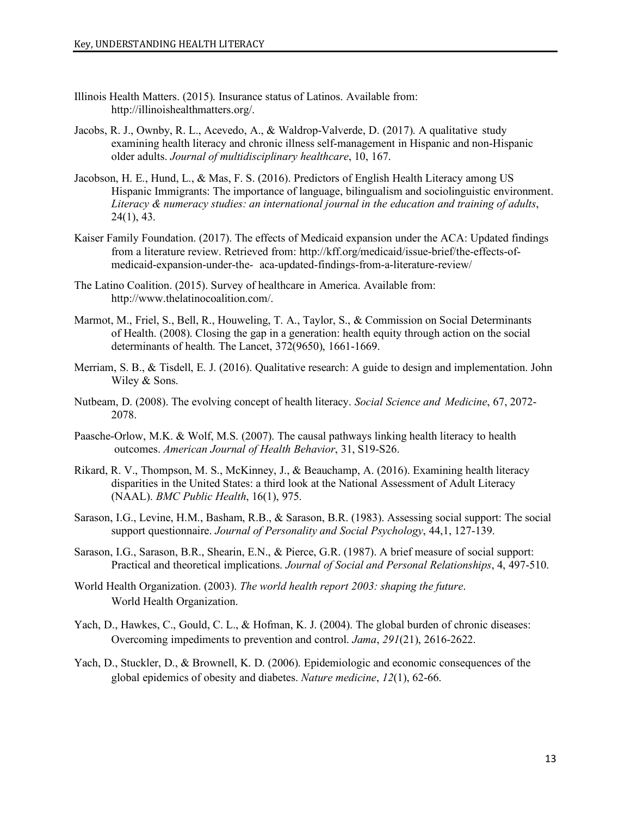- Illinois Health Matters. (2015). Insurance status of Latinos. Available from: http://illinoishealthmatters.org/.
- Jacobs, R. J., Ownby, R. L., Acevedo, A., & Waldrop-Valverde, D. (2017). A qualitative study examining health literacy and chronic illness self-management in Hispanic and non-Hispanic older adults. *Journal of multidisciplinary healthcare*, 10, 167.
- Jacobson, H. E., Hund, L., & Mas, F. S. (2016). Predictors of English Health Literacy among US Hispanic Immigrants: The importance of language, bilingualism and sociolinguistic environment. *Literacy & numeracy studies: an international journal in the education and training of adults*, 24(1), 43.
- Kaiser Family Foundation. (2017). The effects of Medicaid expansion under the ACA: Updated findings from a literature review. Retrieved from: http://kff.org/medicaid/issue-brief/the-effects-ofmedicaid-expansion-under-the- aca-updated-findings-from-a-literature-review/
- The Latino Coalition. (2015). Survey of healthcare in America. Available from: http://www.thelatinocoalition.com/.
- Marmot, M., Friel, S., Bell, R., Houweling, T. A., Taylor, S., & Commission on Social Determinants of Health. (2008). Closing the gap in a generation: health equity through action on the social determinants of health. The Lancet, 372(9650), 1661-1669.
- Merriam, S. B., & Tisdell, E. J. (2016). Qualitative research: A guide to design and implementation. John Wiley & Sons.
- Nutbeam, D. (2008). The evolving concept of health literacy. *Social Science and Medicine*, 67, 2072- 2078.
- Paasche-Orlow, M.K. & Wolf, M.S. (2007). The causal pathways linking health literacy to health outcomes. *American Journal of Health Behavior*, 31, S19-S26.
- Rikard, R. V., Thompson, M. S., McKinney, J., & Beauchamp, A. (2016). Examining health literacy disparities in the United States: a third look at the National Assessment of Adult Literacy (NAAL). *BMC Public Health*, 16(1), 975.
- Sarason, I.G., Levine, H.M., Basham, R.B., & Sarason, B.R. (1983). Assessing social support: The social support questionnaire. *Journal of Personality and Social Psychology*, 44,1, 127-139.
- Sarason, I.G., Sarason, B.R., Shearin, E.N., & Pierce, G.R. (1987). A brief measure of social support: Practical and theoretical implications. *Journal of Social and Personal Relationships*, 4, 497-510.
- World Health Organization. (2003). *The world health report 2003: shaping the future*. World Health Organization.
- Yach, D., Hawkes, C., Gould, C. L., & Hofman, K. J. (2004). The global burden of chronic diseases: Overcoming impediments to prevention and control. *Jama*, *291*(21), 2616-2622.
- Yach, D., Stuckler, D., & Brownell, K. D. (2006). Epidemiologic and economic consequences of the global epidemics of obesity and diabetes. *Nature medicine*, *12*(1), 62-66.